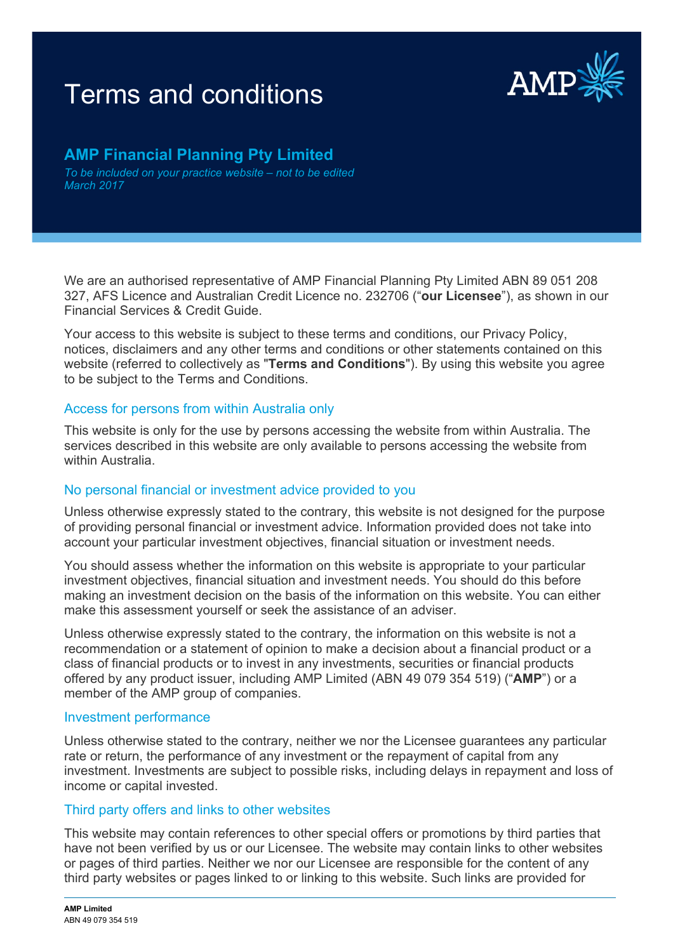# Terms and conditions **Example 2008**



# **AMP Financial Planning Pty Limited**

*To be included on your practice website – not to be edited March 2017*

We are an authorised representative of AMP Financial Planning Pty Limited ABN 89 051 208 327, AFS Licence and Australian Credit Licence no. 232706 ("**our Licensee**"), as shown in our Financial Services & Credit Guide.

Your access to this website is subject to these terms and conditions, our Privacy Policy, notices, disclaimers and any other terms and conditions or other statements contained on this website (referred to collectively as "**Terms and Conditions**"). By using this website you agree to be subject to the Terms and Conditions.

#### Access for persons from within Australia only

This website is only for the use by persons accessing the website from within Australia. The services described in this website are only available to persons accessing the website from within Australia.

# No personal financial or investment advice provided to you

Unless otherwise expressly stated to the contrary, this website is not designed for the purpose of providing personal financial or investment advice. Information provided does not take into account your particular investment objectives, financial situation or investment needs.

You should assess whether the information on this website is appropriate to your particular investment objectives, financial situation and investment needs. You should do this before making an investment decision on the basis of the information on this website. You can either make this assessment yourself or seek the assistance of an adviser.

Unless otherwise expressly stated to the contrary, the information on this website is not a recommendation or a statement of opinion to make a decision about a financial product or a class of financial products or to invest in any investments, securities or financial products offered by any product issuer, including AMP Limited (ABN 49 079 354 519) ("**AMP**") or a member of the AMP group of companies.

#### Investment performance

Unless otherwise stated to the contrary, neither we nor the Licensee guarantees any particular rate or return, the performance of any investment or the repayment of capital from any investment. Investments are subject to possible risks, including delays in repayment and loss of income or capital invested.

#### Third party offers and links to other websites

This website may contain references to other special offers or promotions by third parties that have not been verified by us or our Licensee. The website may contain links to other websites or pages of third parties. Neither we nor our Licensee are responsible for the content of any third party websites or pages linked to or linking to this website. Such links are provided for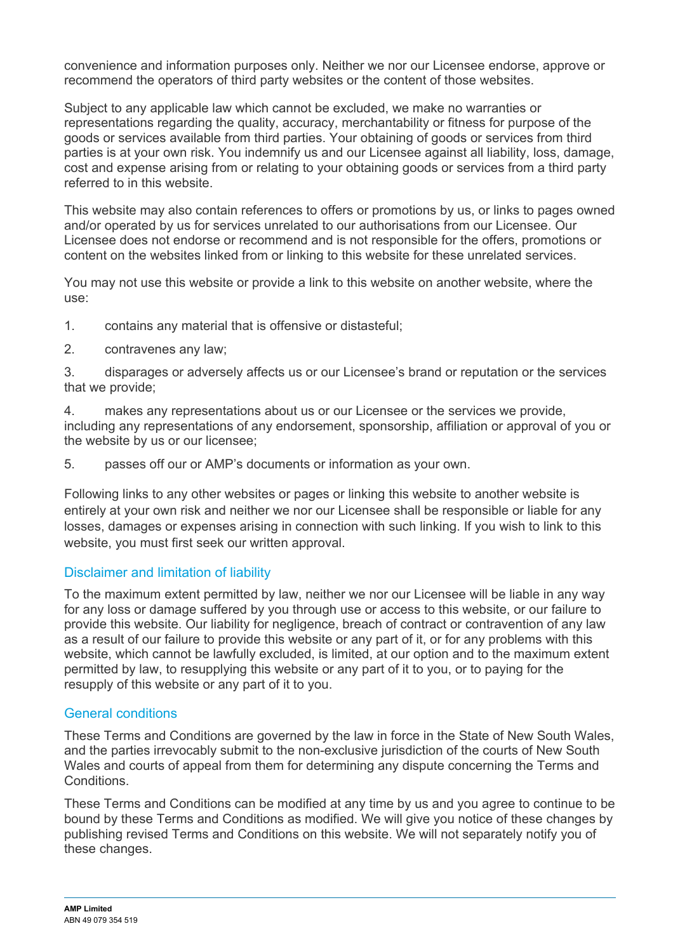convenience and information purposes only. Neither we nor our Licensee endorse, approve or recommend the operators of third party websites or the content of those websites.

Subject to any applicable law which cannot be excluded, we make no warranties or representations regarding the quality, accuracy, merchantability or fitness for purpose of the goods or services available from third parties. Your obtaining of goods or services from third parties is at your own risk. You indemnify us and our Licensee against all liability, loss, damage, cost and expense arising from or relating to your obtaining goods or services from a third party referred to in this website.

This website may also contain references to offers or promotions by us, or links to pages owned and/or operated by us for services unrelated to our authorisations from our Licensee. Our Licensee does not endorse or recommend and is not responsible for the offers, promotions or content on the websites linked from or linking to this website for these unrelated services.

You may not use this website or provide a link to this website on another website, where the use:

1. contains any material that is offensive or distasteful;

2. contravenes any law;

3. disparages or adversely affects us or our Licensee's brand or reputation or the services that we provide;

4. makes any representations about us or our Licensee or the services we provide, including any representations of any endorsement, sponsorship, affiliation or approval of you or the website by us or our licensee;

5. passes off our or AMP's documents or information as your own.

Following links to any other websites or pages or linking this website to another website is entirely at your own risk and neither we nor our Licensee shall be responsible or liable for any losses, damages or expenses arising in connection with such linking. If you wish to link to this website, you must first seek our written approval.

# Disclaimer and limitation of liability

To the maximum extent permitted by law, neither we nor our Licensee will be liable in any way for any loss or damage suffered by you through use or access to this website, or our failure to provide this website. Our liability for negligence, breach of contract or contravention of any law as a result of our failure to provide this website or any part of it, or for any problems with this website, which cannot be lawfully excluded, is limited, at our option and to the maximum extent permitted by law, to resupplying this website or any part of it to you, or to paying for the resupply of this website or any part of it to you.

# General conditions

These Terms and Conditions are governed by the law in force in the State of New South Wales, and the parties irrevocably submit to the non-exclusive jurisdiction of the courts of New South Wales and courts of appeal from them for determining any dispute concerning the Terms and Conditions.

These Terms and Conditions can be modified at any time by us and you agree to continue to be bound by these Terms and Conditions as modified. We will give you notice of these changes by publishing revised Terms and Conditions on this website. We will not separately notify you of these changes.